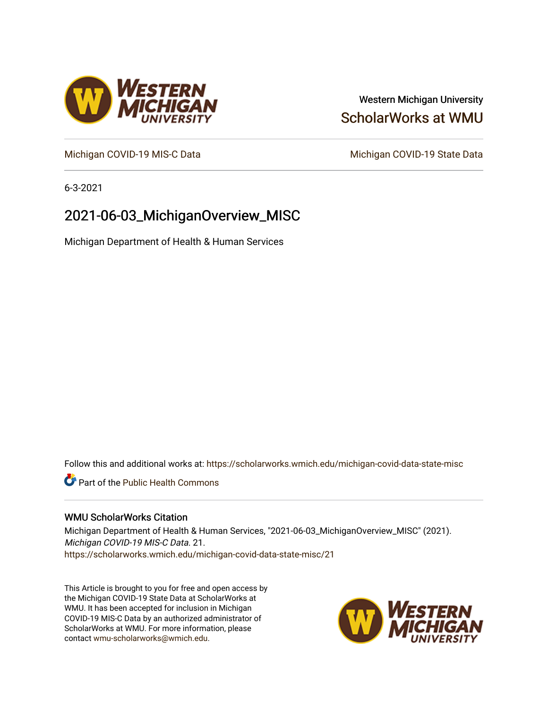# Western Michigan University [ScholarWorks at WMU](https://scholarworks.wmich.edu/)

[Michigan COVID-19 MIS-C Data](https://scholarworks.wmich.edu/michigan-covid-data-state-misc) Michigan COVID-19 State Data

6-3-2021

# 2021-06-03\_MichiganOverview\_MISC

Michigan Department of Health & Human Services

Follow this and additional works at: [https://scholarworks.wmich.edu/michigan-covid-data-state-misc](https://scholarworks.wmich.edu/michigan-covid-data-state-misc?utm_source=scholarworks.wmich.edu%2Fmichigan-covid-data-state-misc%2F21&utm_medium=PDF&utm_campaign=PDFCoverPages) 

**Part of the Public Health Commons** 

## WMU ScholarWorks Citation

Michigan Department of Health & Human Services, "2021-06-03\_MichiganOverview\_MISC" (2021). Michigan COVID-19 MIS-C Data. 21. [https://scholarworks.wmich.edu/michigan-covid-data-state-misc/21](https://scholarworks.wmich.edu/michigan-covid-data-state-misc/21?utm_source=scholarworks.wmich.edu%2Fmichigan-covid-data-state-misc%2F21&utm_medium=PDF&utm_campaign=PDFCoverPages)

This Article is brought to you for free and open access by the Michigan COVID-19 State Data at ScholarWorks at WMU. It has been accepted for inclusion in Michigan COVID-19 MIS-C Data by an authorized administrator of ScholarWorks at WMU. For more information, please contact [wmu-scholarworks@wmich.edu](mailto:wmu-scholarworks@wmich.edu).



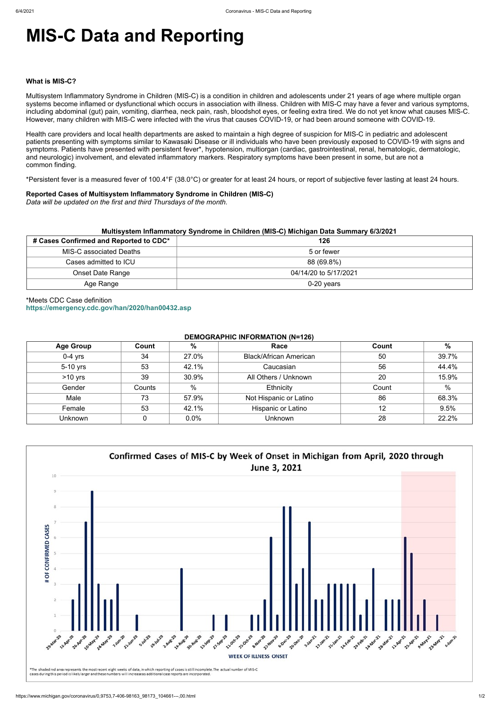# **MIS-C Data and Reporting**

#### **What is MIS-C?**

Multisystem Inflammatory Syndrome in Children (MIS-C) is a condition in children and adolescents under 21 years of age where multiple organ systems become inflamed or dysfunctional which occurs in association with illness. Children with MIS-C may have a fever and various symptoms, including abdominal (gut) pain, vomiting, diarrhea, neck pain, rash, bloodshot eyes, or feeling extra tired. We do not yet know what causes MIS-C. However, many children with MIS-C were infected with the virus that causes COVID-19, or had been around someone with COVID-19.

Health care providers and local health departments are asked to maintain a high degree of suspicion for MIS-C in pediatric and adolescent patients presenting with symptoms similar to Kawasaki Disease or ill individuals who have been previously exposed to COVID-19 with signs and symptoms. Patients have presented with persistent fever\*, hypotension, multiorgan (cardiac, gastrointestinal, renal, hematologic, dermatologic, and neurologic) involvement, and elevated inflammatory markers. Respiratory symptoms have been present in some, but are not a common finding.

\*Persistent fever is a measured fever of 100.4°F (38.0°C) or greater for at least 24 hours, or report of subjective fever lasting at least 24 hours.

## **Reported Cases of Multisystem Inflammatory Syndrome in Children (MIS-C)**

*Data will be updated on the first and third Thursdays of the month.*

| Multisystem Inflammatory Syndrome in Children (MIS-C) Michigan Data Summary 6/3/2021 |                       |  |  |  |
|--------------------------------------------------------------------------------------|-----------------------|--|--|--|
| # Cases Confirmed and Reported to CDC*                                               | 126                   |  |  |  |
| MIS-C associated Deaths                                                              | 5 or fewer            |  |  |  |
| Cases admitted to ICU                                                                | 88 (69.8%)            |  |  |  |
| <b>Onset Date Range</b>                                                              | 04/14/20 to 5/17/2021 |  |  |  |
| Age Range                                                                            | $0-20$ years          |  |  |  |

# \*Meets CDC Case definition **<https://emergency.cdc.gov/han/2020/han00432.asp>**

## **DEMOGRAPHIC INFORMATION (N=126)**

| <b>Age Group</b> | Count  | %             | Race                          | Count | $\%$  |
|------------------|--------|---------------|-------------------------------|-------|-------|
| $0-4$ yrs        | 34     | 27.0%         | <b>Black/African American</b> | 50    | 39.7% |
| 5-10 yrs         | 53     | 42.1%         | Caucasian                     | 56    | 44.4% |
| $>10$ yrs        | 39     | 30.9%         | All Others / Unknown          | 20    | 15.9% |
| Gender           | Counts | $\frac{0}{0}$ | Ethnicity                     | Count | %     |
| Male             | 73     | 57.9%         | Not Hispanic or Latino        | 86    | 68.3% |
| Female           | 53     | 42.1%         | <b>Hispanic or Latino</b>     | 12    | 9.5%  |
| Unknown          |        | 0.0%          | <b>Unknown</b>                | 28    | 22.2% |